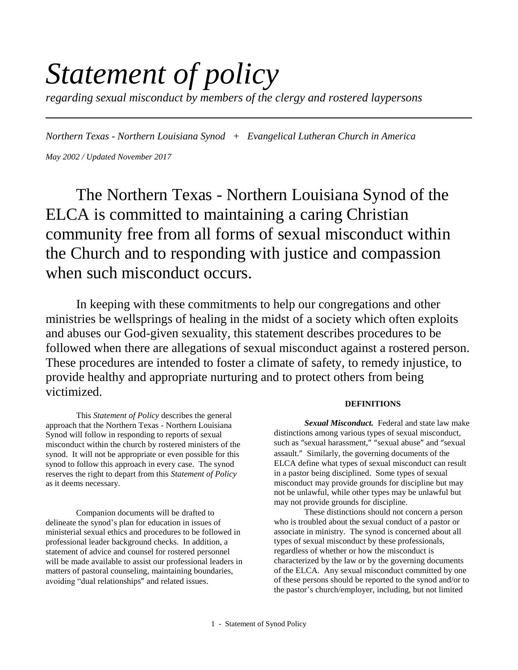# *Statement of policy*

*regarding sexual misconduct by members of the clergy and rostered laypersons*

*Northern Texas - Northern Louisiana Synod + Evangelical Lutheran Church in America May 2002 / Updated November 2017*

The Northern Texas - Northern Louisiana Synod of the ELCA is committed to maintaining a caring Christian community free from all forms of sexual misconduct within the Church and to responding with justice and compassion when such misconduct occurs.

In keeping with these commitments to help our congregations and other ministries be wellsprings of healing in the midst of a society which often exploits and abuses our God-given sexuality, this statement describes procedures to be followed when there are allegations of sexual misconduct against a rostered person. These procedures are intended to foster a climate of safety, to remedy injustice, to provide healthy and appropriate nurturing and to protect others from being victimized.

This *Statement of Policy* describes the general approach that the Northern Texas - Northern Louisiana Synod will follow in responding to reports of sexual misconduct within the church by rostered ministers of the synod. It will not be appropriate or even possible for this synod to follow this approach in every case. The synod reserves the right to depart from this *Statement of Policy* as it deems necessary.

Companion documents will be drafted to delineate the synod's plan for education in issues of ministerial sexual ethics and procedures to be followed in professional leader background checks. In addition, a statement of advice and counsel for rostered personnel will be made available to assist our professional leaders in matters of pastoral counseling, maintaining boundaries, avoiding "dual relationships" and related issues.

# **DEFINITIONS**

*Sexual Misconduct.* Federal and state law make distinctions among various types of sexual misconduct, such as "sexual harassment," "sexual abuse" and "sexual assault." Similarly, the governing documents of the ELCA define what types of sexual misconduct can result in a pastor being disciplined. Some types of sexual misconduct may provide grounds for discipline but may not be unlawful, while other types may be unlawful but may not provide grounds for discipline.

These distinctions should not concern a person who is troubled about the sexual conduct of a pastor or associate in ministry. The synod is concerned about all types of sexual misconduct by these professionals, regardless of whether or how the misconduct is characterized by the law or by the governing documents of the ELCA. Any sexual misconduct committed by one of these persons should be reported to the synod and/or to the pastor's church/employer, including, but not limited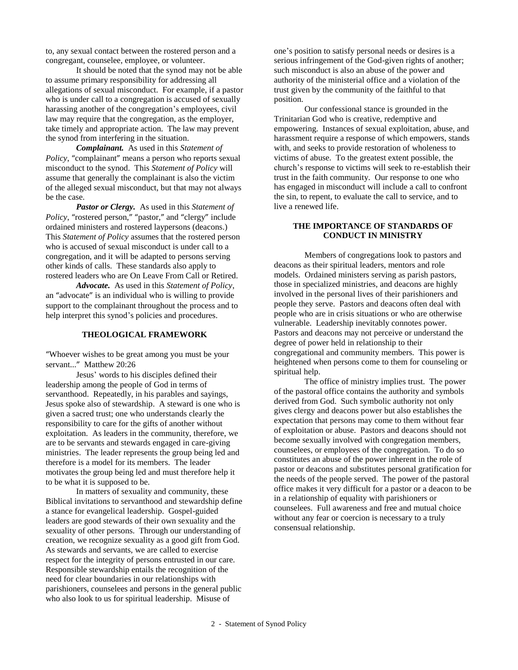to, any sexual contact between the rostered person and a congregant, counselee, employee, or volunteer.

It should be noted that the synod may not be able to assume primary responsibility for addressing all allegations of sexual misconduct. For example, if a pastor who is under call to a congregation is accused of sexually harassing another of the congregation's employees, civil law may require that the congregation, as the employer, take timely and appropriate action. The law may prevent the synod from interfering in the situation.

*Complainant.* As used in this *Statement of Policy*, "complainant" means a person who reports sexual misconduct to the synod. This *Statement of Policy* will assume that generally the complainant is also the victim of the alleged sexual misconduct, but that may not always be the case.

*Pastor or Clergy.* As used in this *Statement of Policy*, "rostered person," "pastor," and "clergy" include ordained ministers and rostered laypersons (deacons.) This *Statement of Policy* assumes that the rostered person who is accused of sexual misconduct is under call to a congregation, and it will be adapted to persons serving other kinds of calls. These standards also apply to rostered leaders who are On Leave From Call or Retired.

*Advocate.* As used in this *Statement of Policy*, an "advocate" is an individual who is willing to provide support to the complainant throughout the process and to help interpret this synod's policies and procedures.

# **THEOLOGICAL FRAMEWORK**

"Whoever wishes to be great among you must be your servant..." Matthew 20:26

Jesus' words to his disciples defined their leadership among the people of God in terms of servanthood. Repeatedly, in his parables and sayings, Jesus spoke also of stewardship. A steward is one who is given a sacred trust; one who understands clearly the responsibility to care for the gifts of another without exploitation. As leaders in the community, therefore, we are to be servants and stewards engaged in care-giving ministries. The leader represents the group being led and therefore is a model for its members. The leader motivates the group being led and must therefore help it to be what it is supposed to be.

In matters of sexuality and community, these Biblical invitations to servanthood and stewardship define a stance for evangelical leadership. Gospel-guided leaders are good stewards of their own sexuality and the sexuality of other persons. Through our understanding of creation, we recognize sexuality as a good gift from God. As stewards and servants, we are called to exercise respect for the integrity of persons entrusted in our care. Responsible stewardship entails the recognition of the need for clear boundaries in our relationships with parishioners, counselees and persons in the general public who also look to us for spiritual leadership. Misuse of

one's position to satisfy personal needs or desires is a serious infringement of the God-given rights of another; such misconduct is also an abuse of the power and authority of the ministerial office and a violation of the trust given by the community of the faithful to that position.

Our confessional stance is grounded in the Trinitarian God who is creative, redemptive and empowering. Instances of sexual exploitation, abuse, and harassment require a response of which empowers, stands with, and seeks to provide restoration of wholeness to victims of abuse. To the greatest extent possible, the church's response to victims will seek to re-establish their trust in the faith community. Our response to one who has engaged in misconduct will include a call to confront the sin, to repent, to evaluate the call to service, and to live a renewed life.

#### **THE IMPORTANCE OF STANDARDS OF CONDUCT IN MINISTRY**

Members of congregations look to pastors and deacons as their spiritual leaders, mentors and role models. Ordained ministers serving as parish pastors, those in specialized ministries, and deacons are highly involved in the personal lives of their parishioners and people they serve. Pastors and deacons often deal with people who are in crisis situations or who are otherwise vulnerable. Leadership inevitably connotes power. Pastors and deacons may not perceive or understand the degree of power held in relationship to their congregational and community members. This power is heightened when persons come to them for counseling or spiritual help.

The office of ministry implies trust. The power of the pastoral office contains the authority and symbols derived from God. Such symbolic authority not only gives clergy and deacons power but also establishes the expectation that persons may come to them without fear of exploitation or abuse. Pastors and deacons should not become sexually involved with congregation members, counselees, or employees of the congregation. To do so constitutes an abuse of the power inherent in the role of pastor or deacons and substitutes personal gratification for the needs of the people served. The power of the pastoral office makes it very difficult for a pastor or a deacon to be in a relationship of equality with parishioners or counselees. Full awareness and free and mutual choice without any fear or coercion is necessary to a truly consensual relationship.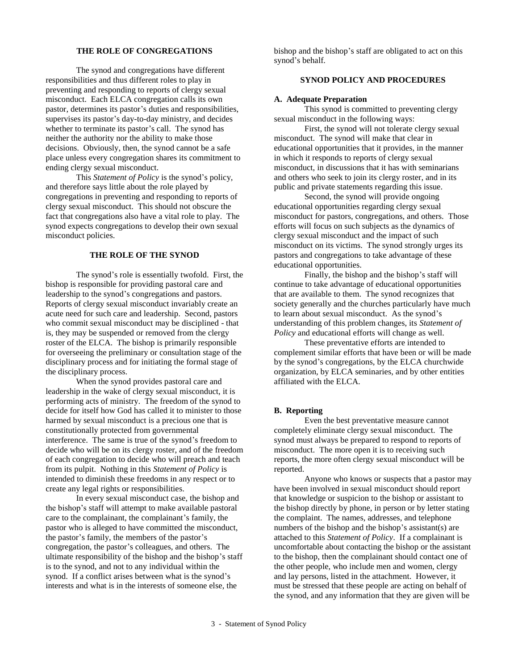# **THE ROLE OF CONGREGATIONS**

The synod and congregations have different responsibilities and thus different roles to play in preventing and responding to reports of clergy sexual misconduct. Each ELCA congregation calls its own pastor, determines its pastor's duties and responsibilities, supervises its pastor's day-to-day ministry, and decides whether to terminate its pastor's call. The synod has neither the authority nor the ability to make those decisions. Obviously, then, the synod cannot be a safe place unless every congregation shares its commitment to ending clergy sexual misconduct.

This *Statement of Policy* is the synod's policy, and therefore says little about the role played by congregations in preventing and responding to reports of clergy sexual misconduct. This should not obscure the fact that congregations also have a vital role to play. The synod expects congregations to develop their own sexual misconduct policies.

#### **THE ROLE OF THE SYNOD**

The synod's role is essentially twofold. First, the bishop is responsible for providing pastoral care and leadership to the synod's congregations and pastors. Reports of clergy sexual misconduct invariably create an acute need for such care and leadership. Second, pastors who commit sexual misconduct may be disciplined - that is, they may be suspended or removed from the clergy roster of the ELCA. The bishop is primarily responsible for overseeing the preliminary or consultation stage of the disciplinary process and for initiating the formal stage of the disciplinary process.

When the synod provides pastoral care and leadership in the wake of clergy sexual misconduct, it is performing acts of ministry. The freedom of the synod to decide for itself how God has called it to minister to those harmed by sexual misconduct is a precious one that is constitutionally protected from governmental interference. The same is true of the synod's freedom to decide who will be on its clergy roster, and of the freedom of each congregation to decide who will preach and teach from its pulpit. Nothing in this *Statement of Policy* is intended to diminish these freedoms in any respect or to create any legal rights or responsibilities.

In every sexual misconduct case, the bishop and the bishop's staff will attempt to make available pastoral care to the complainant, the complainant's family, the pastor who is alleged to have committed the misconduct, the pastor's family, the members of the pastor's congregation, the pastor's colleagues, and others. The ultimate responsibility of the bishop and the bishop's staff is to the synod, and not to any individual within the synod. If a conflict arises between what is the synod's interests and what is in the interests of someone else, the

bishop and the bishop's staff are obligated to act on this synod's behalf.

# **SYNOD POLICY AND PROCEDURES**

#### **A. Adequate Preparation**

This synod is committed to preventing clergy sexual misconduct in the following ways:

First, the synod will not tolerate clergy sexual misconduct. The synod will make that clear in educational opportunities that it provides, in the manner in which it responds to reports of clergy sexual misconduct, in discussions that it has with seminarians and others who seek to join its clergy roster, and in its public and private statements regarding this issue.

Second, the synod will provide ongoing educational opportunities regarding clergy sexual misconduct for pastors, congregations, and others. Those efforts will focus on such subjects as the dynamics of clergy sexual misconduct and the impact of such misconduct on its victims. The synod strongly urges its pastors and congregations to take advantage of these educational opportunities.

Finally, the bishop and the bishop's staff will continue to take advantage of educational opportunities that are available to them. The synod recognizes that society generally and the churches particularly have much to learn about sexual misconduct. As the synod's understanding of this problem changes, its *Statement of Policy* and educational efforts will change as well.

These preventative efforts are intended to complement similar efforts that have been or will be made by the synod's congregations, by the ELCA churchwide organization, by ELCA seminaries, and by other entities affiliated with the ELCA.

#### **B. Reporting**

Even the best preventative measure cannot completely eliminate clergy sexual misconduct. The synod must always be prepared to respond to reports of misconduct. The more open it is to receiving such reports, the more often clergy sexual misconduct will be reported.

Anyone who knows or suspects that a pastor may have been involved in sexual misconduct should report that knowledge or suspicion to the bishop or assistant to the bishop directly by phone, in person or by letter stating the complaint. The names, addresses, and telephone numbers of the bishop and the bishop's assistant(s) are attached to this *Statement of Policy*. If a complainant is uncomfortable about contacting the bishop or the assistant to the bishop, then the complainant should contact one of the other people, who include men and women, clergy and lay persons, listed in the attachment. However, it must be stressed that these people are acting on behalf of the synod, and any information that they are given will be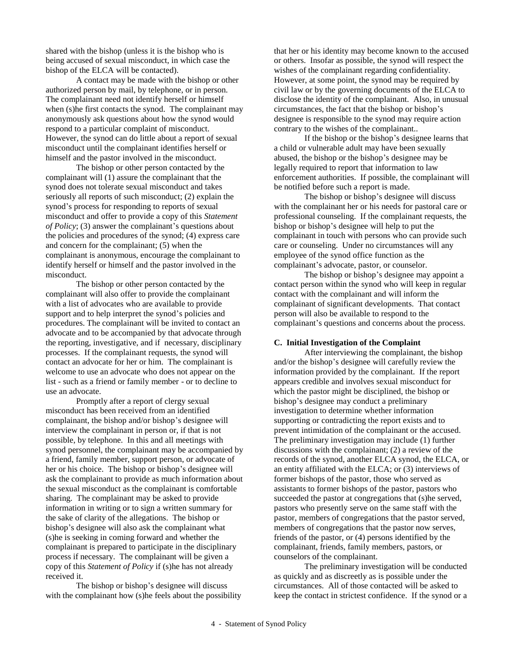shared with the bishop (unless it is the bishop who is being accused of sexual misconduct, in which case the bishop of the ELCA will be contacted).

A contact may be made with the bishop or other authorized person by mail, by telephone, or in person. The complainant need not identify herself or himself when (s)he first contacts the synod. The complainant may anonymously ask questions about how the synod would respond to a particular complaint of misconduct. However, the synod can do little about a report of sexual misconduct until the complainant identifies herself or himself and the pastor involved in the misconduct.

The bishop or other person contacted by the complainant will (1) assure the complainant that the synod does not tolerate sexual misconduct and takes seriously all reports of such misconduct; (2) explain the synod's process for responding to reports of sexual misconduct and offer to provide a copy of this *Statement of Policy*; (3) answer the complainant's questions about the policies and procedures of the synod; (4) express care and concern for the complainant; (5) when the complainant is anonymous, encourage the complainant to identify herself or himself and the pastor involved in the misconduct.

The bishop or other person contacted by the complainant will also offer to provide the complainant with a list of advocates who are available to provide support and to help interpret the synod's policies and procedures. The complainant will be invited to contact an advocate and to be accompanied by that advocate through the reporting, investigative, and if necessary, disciplinary processes. If the complainant requests, the synod will contact an advocate for her or him. The complainant is welcome to use an advocate who does not appear on the list - such as a friend or family member - or to decline to use an advocate.

Promptly after a report of clergy sexual misconduct has been received from an identified complainant, the bishop and/or bishop's designee will interview the complainant in person or, if that is not possible, by telephone. In this and all meetings with synod personnel, the complainant may be accompanied by a friend, family member, support person, or advocate of her or his choice. The bishop or bishop's designee will ask the complainant to provide as much information about the sexual misconduct as the complainant is comfortable sharing. The complainant may be asked to provide information in writing or to sign a written summary for the sake of clarity of the allegations. The bishop or bishop's designee will also ask the complainant what (s)he is seeking in coming forward and whether the complainant is prepared to participate in the disciplinary process if necessary. The complainant will be given a copy of this *Statement of Policy* if (s)he has not already received it.

The bishop or bishop's designee will discuss with the complainant how (s)he feels about the possibility that her or his identity may become known to the accused or others. Insofar as possible, the synod will respect the wishes of the complainant regarding confidentiality. However, at some point, the synod may be required by civil law or by the governing documents of the ELCA to disclose the identity of the complainant. Also, in unusual circumstances, the fact that the bishop or bishop's designee is responsible to the synod may require action contrary to the wishes of the complainant..

If the bishop or the bishop's designee learns that a child or vulnerable adult may have been sexually abused, the bishop or the bishop's designee may be legally required to report that information to law enforcement authorities. If possible, the complainant will be notified before such a report is made.

The bishop or bishop's designee will discuss with the complainant her or his needs for pastoral care or professional counseling. If the complainant requests, the bishop or bishop's designee will help to put the complainant in touch with persons who can provide such care or counseling. Under no circumstances will any employee of the synod office function as the complainant's advocate, pastor, or counselor.

The bishop or bishop's designee may appoint a contact person within the synod who will keep in regular contact with the complainant and will inform the complainant of significant developments. That contact person will also be available to respond to the complainant's questions and concerns about the process.

### **C. Initial Investigation of the Complaint**

After interviewing the complainant, the bishop and/or the bishop's designee will carefully review the information provided by the complainant. If the report appears credible and involves sexual misconduct for which the pastor might be disciplined, the bishop or bishop's designee may conduct a preliminary investigation to determine whether information supporting or contradicting the report exists and to prevent intimidation of the complainant or the accused. The preliminary investigation may include (1) further discussions with the complainant; (2) a review of the records of the synod, another ELCA synod, the ELCA, or an entity affiliated with the ELCA; or (3) interviews of former bishops of the pastor, those who served as assistants to former bishops of the pastor, pastors who succeeded the pastor at congregations that (s)he served, pastors who presently serve on the same staff with the pastor, members of congregations that the pastor served, members of congregations that the pastor now serves, friends of the pastor, or (4) persons identified by the complainant, friends, family members, pastors, or counselors of the complainant.

The preliminary investigation will be conducted as quickly and as discreetly as is possible under the circumstances. All of those contacted will be asked to keep the contact in strictest confidence. If the synod or a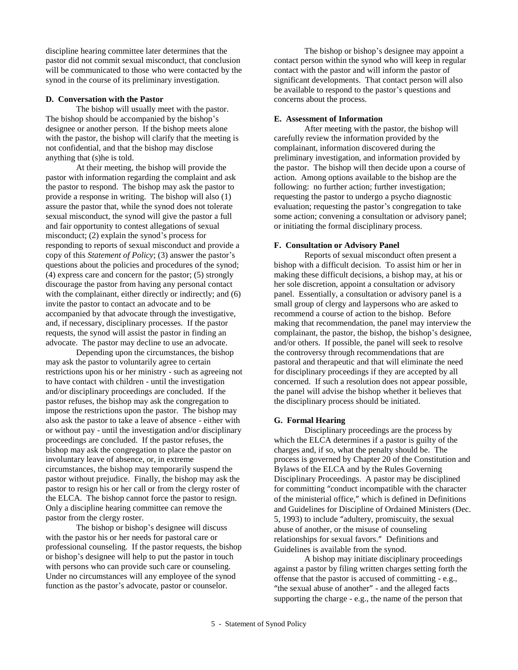discipline hearing committee later determines that the pastor did not commit sexual misconduct, that conclusion will be communicated to those who were contacted by the synod in the course of its preliminary investigation.

#### **D. Conversation with the Pastor**

The bishop will usually meet with the pastor. The bishop should be accompanied by the bishop's designee or another person. If the bishop meets alone with the pastor, the bishop will clarify that the meeting is not confidential, and that the bishop may disclose anything that (s)he is told.

At their meeting, the bishop will provide the pastor with information regarding the complaint and ask the pastor to respond. The bishop may ask the pastor to provide a response in writing. The bishop will also (1) assure the pastor that, while the synod does not tolerate sexual misconduct, the synod will give the pastor a full and fair opportunity to contest allegations of sexual misconduct; (2) explain the synod's process for responding to reports of sexual misconduct and provide a copy of this *Statement of Policy*; (3) answer the pastor's questions about the policies and procedures of the synod; (4) express care and concern for the pastor; (5) strongly discourage the pastor from having any personal contact with the complainant, either directly or indirectly; and (6) invite the pastor to contact an advocate and to be accompanied by that advocate through the investigative, and, if necessary, disciplinary processes. If the pastor requests, the synod will assist the pastor in finding an advocate. The pastor may decline to use an advocate.

Depending upon the circumstances, the bishop may ask the pastor to voluntarily agree to certain restrictions upon his or her ministry - such as agreeing not to have contact with children - until the investigation and/or disciplinary proceedings are concluded. If the pastor refuses, the bishop may ask the congregation to impose the restrictions upon the pastor. The bishop may also ask the pastor to take a leave of absence - either with or without pay - until the investigation and/or disciplinary proceedings are concluded. If the pastor refuses, the bishop may ask the congregation to place the pastor on involuntary leave of absence, or, in extreme circumstances, the bishop may temporarily suspend the pastor without prejudice. Finally, the bishop may ask the pastor to resign his or her call or from the clergy roster of the ELCA. The bishop cannot force the pastor to resign. Only a discipline hearing committee can remove the pastor from the clergy roster.

The bishop or bishop's designee will discuss with the pastor his or her needs for pastoral care or professional counseling. If the pastor requests, the bishop or bishop's designee will help to put the pastor in touch with persons who can provide such care or counseling. Under no circumstances will any employee of the synod function as the pastor's advocate, pastor or counselor.

The bishop or bishop's designee may appoint a contact person within the synod who will keep in regular contact with the pastor and will inform the pastor of significant developments. That contact person will also be available to respond to the pastor's questions and concerns about the process.

#### **E. Assessment of Information**

After meeting with the pastor, the bishop will carefully review the information provided by the complainant, information discovered during the preliminary investigation, and information provided by the pastor. The bishop will then decide upon a course of action. Among options available to the bishop are the following: no further action; further investigation; requesting the pastor to undergo a psycho diagnostic evaluation; requesting the pastor's congregation to take some action; convening a consultation or advisory panel; or initiating the formal disciplinary process.

#### **F. Consultation or Advisory Panel**

Reports of sexual misconduct often present a bishop with a difficult decision. To assist him or her in making these difficult decisions, a bishop may, at his or her sole discretion, appoint a consultation or advisory panel. Essentially, a consultation or advisory panel is a small group of clergy and laypersons who are asked to recommend a course of action to the bishop. Before making that recommendation, the panel may interview the complainant, the pastor, the bishop, the bishop's designee, and/or others. If possible, the panel will seek to resolve the controversy through recommendations that are pastoral and therapeutic and that will eliminate the need for disciplinary proceedings if they are accepted by all concerned. If such a resolution does not appear possible, the panel will advise the bishop whether it believes that the disciplinary process should be initiated.

#### **G. Formal Hearing**

Disciplinary proceedings are the process by which the ELCA determines if a pastor is guilty of the charges and, if so, what the penalty should be. The process is governed by Chapter 20 of the Constitution and Bylaws of the ELCA and by the Rules Governing Disciplinary Proceedings. A pastor may be disciplined for committing "conduct incompatible with the character of the ministerial office," which is defined in Definitions and Guidelines for Discipline of Ordained Ministers (Dec. 5, 1993) to include "adultery, promiscuity, the sexual abuse of another, or the misuse of counseling relationships for sexual favors." Definitions and Guidelines is available from the synod.

A bishop may initiate disciplinary proceedings against a pastor by filing written charges setting forth the offense that the pastor is accused of committing - e.g., "the sexual abuse of another" - and the alleged facts supporting the charge - e.g., the name of the person that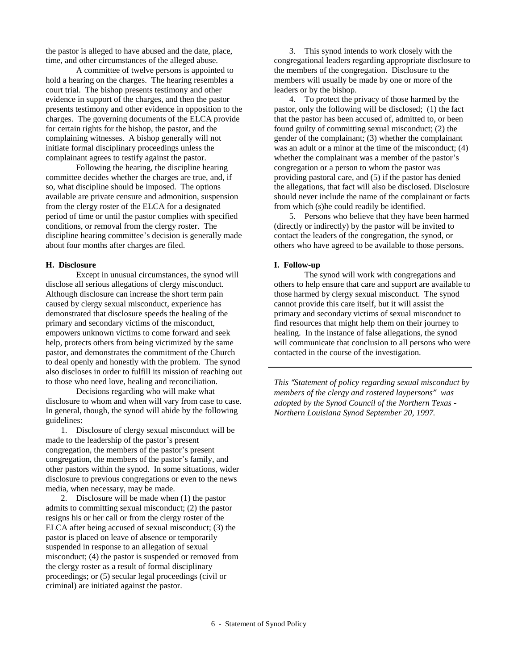the pastor is alleged to have abused and the date, place, time, and other circumstances of the alleged abuse.

A committee of twelve persons is appointed to hold a hearing on the charges. The hearing resembles a court trial. The bishop presents testimony and other evidence in support of the charges, and then the pastor presents testimony and other evidence in opposition to the charges. The governing documents of the ELCA provide for certain rights for the bishop, the pastor, and the complaining witnesses. A bishop generally will not initiate formal disciplinary proceedings unless the complainant agrees to testify against the pastor.

Following the hearing, the discipline hearing committee decides whether the charges are true, and, if so, what discipline should be imposed. The options available are private censure and admonition, suspension from the clergy roster of the ELCA for a designated period of time or until the pastor complies with specified conditions, or removal from the clergy roster. The discipline hearing committee's decision is generally made about four months after charges are filed.

# **H. Disclosure**

Except in unusual circumstances, the synod will disclose all serious allegations of clergy misconduct. Although disclosure can increase the short term pain caused by clergy sexual misconduct, experience has demonstrated that disclosure speeds the healing of the primary and secondary victims of the misconduct, empowers unknown victims to come forward and seek help, protects others from being victimized by the same pastor, and demonstrates the commitment of the Church to deal openly and honestly with the problem. The synod also discloses in order to fulfill its mission of reaching out to those who need love, healing and reconciliation.

Decisions regarding who will make what disclosure to whom and when will vary from case to case. In general, though, the synod will abide by the following guidelines:

1. Disclosure of clergy sexual misconduct will be made to the leadership of the pastor's present congregation, the members of the pastor's present congregation, the members of the pastor's family, and other pastors within the synod. In some situations, wider disclosure to previous congregations or even to the news media, when necessary, may be made.

2. Disclosure will be made when (1) the pastor admits to committing sexual misconduct; (2) the pastor resigns his or her call or from the clergy roster of the ELCA after being accused of sexual misconduct; (3) the pastor is placed on leave of absence or temporarily suspended in response to an allegation of sexual misconduct; (4) the pastor is suspended or removed from the clergy roster as a result of formal disciplinary proceedings; or (5) secular legal proceedings (civil or criminal) are initiated against the pastor.

3. This synod intends to work closely with the congregational leaders regarding appropriate disclosure to the members of the congregation. Disclosure to the members will usually be made by one or more of the leaders or by the bishop.

4. To protect the privacy of those harmed by the pastor, only the following will be disclosed; (1) the fact that the pastor has been accused of, admitted to, or been found guilty of committing sexual misconduct; (2) the gender of the complainant; (3) whether the complainant was an adult or a minor at the time of the misconduct; (4) whether the complainant was a member of the pastor's congregation or a person to whom the pastor was providing pastoral care, and (5) if the pastor has denied the allegations, that fact will also be disclosed. Disclosure should never include the name of the complainant or facts from which (s)he could readily be identified.

5. Persons who believe that they have been harmed (directly or indirectly) by the pastor will be invited to contact the leaders of the congregation, the synod, or others who have agreed to be available to those persons.

#### **I. Follow-up**

The synod will work with congregations and others to help ensure that care and support are available to those harmed by clergy sexual misconduct. The synod cannot provide this care itself, but it will assist the primary and secondary victims of sexual misconduct to find resources that might help them on their journey to healing. In the instance of false allegations, the synod will communicate that conclusion to all persons who were contacted in the course of the investigation.

*This "Statement of policy regarding sexual misconduct by members of the clergy and rostered laypersons" was adopted by the Synod Council of the Northern Texas - Northern Louisiana Synod September 20, 1997.*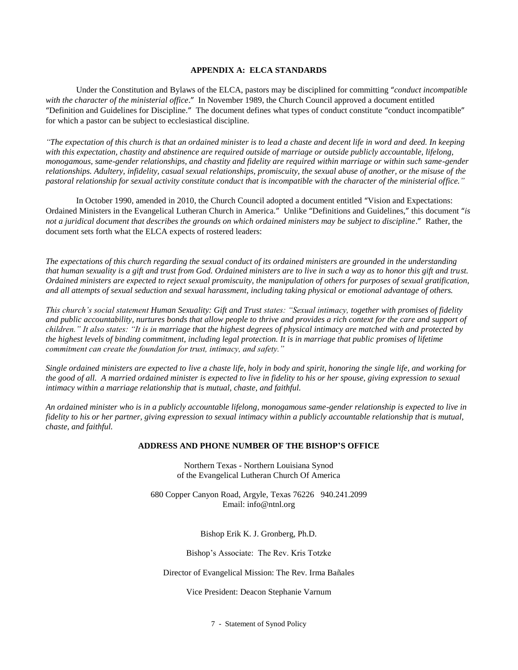# **APPENDIX A: ELCA STANDARDS**

Under the Constitution and Bylaws of the ELCA, pastors may be disciplined for committing "*conduct incompatible with the character of the ministerial office*." In November 1989, the Church Council approved a document entitled "Definition and Guidelines for Discipline." The document defines what types of conduct constitute "conduct incompatible" for which a pastor can be subject to ecclesiastical discipline.

*"The expectation of this church is that an ordained minister is to lead a chaste and decent life in word and deed. In keeping with this expectation, chastity and abstinence are required outside of marriage or outside publicly accountable, lifelong, monogamous, same-gender relationships, and chastity and fidelity are required within marriage or within such same-gender relationships. Adultery, infidelity, casual sexual relationships, promiscuity, the sexual abuse of another, or the misuse of the pastoral relationship for sexual activity constitute conduct that is incompatible with the character of the ministerial office."*

In October 1990, amended in 2010, the Church Council adopted a document entitled "Vision and Expectations: Ordained Ministers in the Evangelical Lutheran Church in America." Unlike "Definitions and Guidelines," this document "*is not a juridical document that describes the grounds on which ordained ministers may be subject to discipline*." Rather, the document sets forth what the ELCA expects of rostered leaders:

*The expectations of this church regarding the sexual conduct of its ordained ministers are grounded in the understanding that human sexuality is a gift and trust from God. Ordained ministers are to live in such a way as to honor this gift and trust. Ordained ministers are expected to reject sexual promiscuity, the manipulation of others for purposes of sexual gratification, and all attempts of sexual seduction and sexual harassment, including taking physical or emotional advantage of others.*

*This church's social statement Human Sexuality: Gift and Trust states: "Sexual intimacy, together with promises of fidelity and public accountability, nurtures bonds that allow people to thrive and provides a rich context for the care and support of children." It also states: "It is in marriage that the highest degrees of physical intimacy are matched with and protected by the highest levels of binding commitment, including legal protection. It is in marriage that public promises of lifetime commitment can create the foundation for trust, intimacy, and safety."*

*Single ordained ministers are expected to live a chaste life, holy in body and spirit, honoring the single life, and working for the good of all. A married ordained minister is expected to live in fidelity to his or her spouse, giving expression to sexual intimacy within a marriage relationship that is mutual, chaste, and faithful.*

*An ordained minister who is in a publicly accountable lifelong, monogamous same-gender relationship is expected to live in fidelity to his or her partner, giving expression to sexual intimacy within a publicly accountable relationship that is mutual, chaste, and faithful.*

#### **ADDRESS AND PHONE NUMBER OF THE BISHOP'S OFFICE**

Northern Texas - Northern Louisiana Synod of the Evangelical Lutheran Church Of America

680 Copper Canyon Road, Argyle, Texas 76226 940.241.2099 Email: info@ntnl.org

Bishop Erik K. J. Gronberg, Ph.D.

Bishop's Associate: The Rev. Kris Totzke

Director of Evangelical Mission: The Rev. Irma Bañales

Vice President: Deacon Stephanie Varnum

7 - Statement of Synod Policy